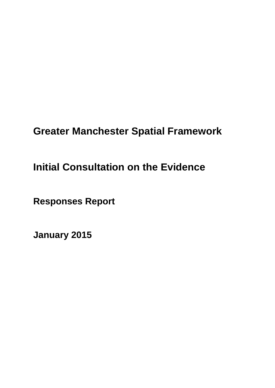# **Greater Manchester Spatial Framework**

# **Initial Consultation on the Evidence**

**Responses Report**

**January 2015**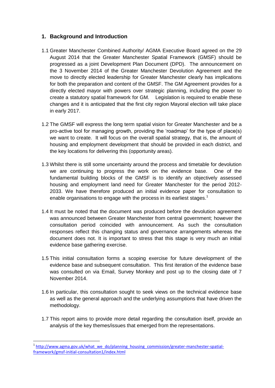#### **1. Background and Introduction**

- 1.1 Greater Manchester Combined Authority/ AGMA Executive Board agreed on the 29 August 2014 that the Greater Manchester Spatial Framework (GMSF) should be progressed as a joint Development Plan Document (DPD). The announcement on the 3 November 2014 of the Greater Manchester Devolution Agreement and the move to directly elected leadership for Greater Manchester clearly has implications for both the preparation and content of the GMSF. The GM Agreement provides for a directly elected mayor with powers over strategic planning, including the power to create a statutory spatial framework for GM. Legislation is required to enable these changes and it is anticipated that the first city region Mayoral election will take place in early 2017.
- 1.2 The GMSF will express the long term spatial vision for Greater Manchester and be a pro-active tool for managing growth, providing the 'roadmap' for the type of place(s) we want to create. It will focus on the overall spatial strategy, that is, the amount of housing and employment development that should be provided in each district, and the key locations for delivering this (opportunity areas).
- 1.3 Whilst there is still some uncertainty around the process and timetable for devolution we are continuing to progress the work on the evidence base. One of the fundamental building blocks of the GMSF is to identify an objectively assessed housing and employment land need for Greater Manchester for the period 2012- 2033. We have therefore produced an initial evidence paper for consultation to enable organisations to engage with the process in its earliest stages.<sup>1</sup>
- 1.4 It must be noted that the document was produced before the devolution agreement was announced between Greater Manchester from central government; however the consultation period coincided with announcement. As such the consultation responses reflect this changing status and governance arrangements whereas the document does not. It is important to stress that this stage is very much an initial evidence base gathering exercise.
- 1.5 This initial consultation forms a scoping exercise for future development of the evidence base and subsequent consultation. This first iteration of the evidence base was consulted on via Email, Survey Monkey and post up to the closing date of 7 November 2014.
- 1.6 In particular, this consultation sought to seek views on the technical evidence base as well as the general approach and the underlying assumptions that have driven the methodology.
- 1.7 This report aims to provide more detail regarding the consultation itself, provide an analysis of the key themes/issues that emerged from the representations.

**.** 

<sup>&</sup>lt;sup>1</sup> [http://www.agma.gov.uk/what\\_we\\_do/planning\\_housing\\_commission/greater-manchester-spatial](http://www.agma.gov.uk/what_we_do/planning_housing_commission/greater-manchester-spatial-framework/gmsf-initial-consultation1/index.html)[framework/gmsf-initial-consultation1/index.html](http://www.agma.gov.uk/what_we_do/planning_housing_commission/greater-manchester-spatial-framework/gmsf-initial-consultation1/index.html)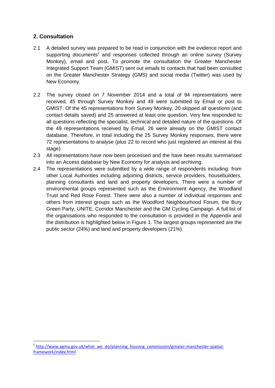### **2. Consultation**

**.** 

- 2.1 A detailed survey was prepared to be read in conjunction with the evidence report and supporting documents<sup>2</sup> and responses collected through an online survey (Survey Monkey), email and post. To promote the consultation the Greater Manchester Integrated Support Team (GMIST) sent out emails to contacts that had been consulted on the Greater Manchester Strategy (GMS) and social media (Twitter) was used by New Economy.
- 2.2 The survey closed on 7 November 2014 and a total of 94 representations were received, 45 through Survey Monkey and 49 were submitted by Email or post to GMIST. Of the 45 representations from Survey Monkey, 20 skipped all questions (and contact details saved) and 25 answered at least one question. Very few responded to all questions reflecting the specialist, technical and detailed nature of the questions. Of the 49 representations received by Email, 26 were already on the GMIST contact database. Therefore, in total including the 25 Survey Monkey responses, there were 72 representations to analyse (plus 22 to record who just registered an interest at this stage).
- 2.3 All representations have now been processed and the have been results summarised into an Access database by New Economy for analysis and archiving.
- 2.4 The representations were submitted by a wide range of respondents including: from other Local Authorities including adjoining districts, service providers, housebuilders, planning consultants and land and property developers. There were a number of environmental groups represented such as the Environment Agency, the Woodland Trust and Red Rose Forest. There were also a number of individual responses and others from interest groups such as the Woodford Neighbourhood Forum, the Bury Green Party, UNITE, Corridor Manchester and the GM Cycling Campaign. A full list of the organisations who responded to the consultation is provided in the Appendix and the distribution is highlighted below in Figure 1. The largest groups represented are the public sector (24%) and land and property developers (21%).

<sup>&</sup>lt;sup>2</sup> [http://www.agma.gov.uk/what\\_we\\_do/planning\\_housing\\_commission/greater-manchester-spatial](http://www.agma.gov.uk/what_we_do/planning_housing_commission/greater-manchester-spatial-framework/index.html)[framework/index.html](http://www.agma.gov.uk/what_we_do/planning_housing_commission/greater-manchester-spatial-framework/index.html)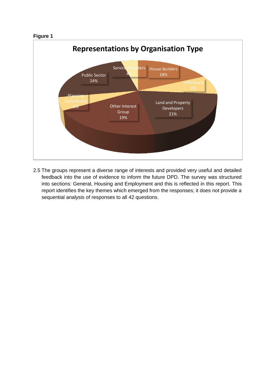#### **Figure 1**



2.5 The groups represent a diverse range of interests and provided very useful and detailed feedback into the use of evidence to inform the future DPD. The survey was structured into sections: General, Housing and Employment and this is reflected in this report. This report identifies the key themes which emerged from the responses; it does not provide a sequential analysis of responses to all 42 questions.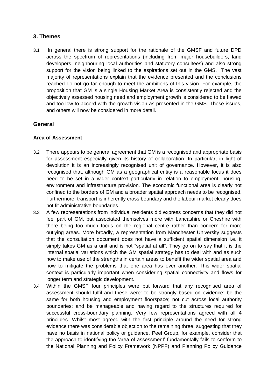#### **3. Themes**

3.1 In general there is strong support for the rationale of the GMSF and future DPD across the spectrum of representations (including from major housebuilders, land developers, neighbouring local authorities and statutory consultees) and also strong support for the vision being linked to the aspirations set out in the GMS. The vast majority of representations explain that the evidence presented and the conclusions reached do not go far enough to meet the ambitions of this vision. For example, the proposition that GM is a single Housing Market Area is consistently rejected and the objectively assessed housing need and employment growth is considered to be flawed and too low to accord with the growth vision as presented in the GMS. These issues, and others will now be considered in more detail.

#### **General**

#### **Area of Assessment**

- 3.2 There appears to be general agreement that GM is a recognised and appropriate basis for assessment especially given its history of collaboration. In particular, in light of devolution it is an increasingly recognised unit of governance. However, it is also recognised that, although GM as a geographical entity is a reasonable focus it does need to be set in a wider context particularly in relation to employment, housing, environment and infrastructure provision. The economic functional area is clearly not confined to the borders of GM and a broader spatial approach needs to be recognised. Furthermore, transport is inherently cross boundary and the labour market clearly does not fit administrative boundaries.
- 3.3 A few representations from individual residents did express concerns that they did not feel part of GM, but associated themselves more with Lancashire or Cheshire with there being too much focus on the regional centre rather than concern for more outlying areas. More broadly, a representation from Manchester University suggests that the consultation document does not have a sufficient spatial dimension i.e. it simply takes GM as a unit and is not "spatial at all". They go on to say that it is the internal spatial variations which the GM spatial strategy has to deal with and as such how to make use of the strengths in certain areas to benefit the wider spatial area and how to mitigate the problems that one area has over another. This wider spatial context is particularly important when considering spatial connectivity and flows for longer term and strategic development.
- 3.4 Within the GMSF four principles were put forward that any recognised area of assessment should fulfil and these were: to be strongly based on evidence; be the same for both housing and employment floorspace; not cut across local authority boundaries; and be manageable and having regard to the structures required for successful cross-boundary planning. Very few representations agreed with all 4 principles. Whilst most agreed with the first principle around the need for strong evidence there was considerable objection to the remaining three, suggesting that they have no basis in national policy or guidance. Peel Group, for example, consider that the approach to identifying the 'area of assessment' fundamentally fails to conform to the National Planning and Policy Framework (NPPF) and Planning Policy Guidance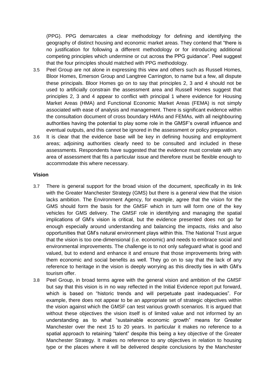(PPG). PPG demarcates a clear methodology for defining and identifying the geography of distinct housing and economic market areas. They contend that "there is no justification for following a different methodology or for introducing additional competing principles which undermine or cut across the PPG guidance". Peel suggest that the four principles should matched with PPG methodology.

- 3.5 Peel Group are not alone in expressing this view and others such as Russell Homes, Bloor Homes, Emerson Group and Langtree Carrington, to name but a few, all dispute these principals. Bloor Homes go on to say that principles 2, 3 and 4 should not be used to artificially constrain the assessment area and Russell Homes suggest that principles 2, 3 and 4 appear to conflict with principal 1 where evidence for Housing Market Areas (HMA) and Functional Economic Market Areas (FEMA) is not simply associated with ease of analysis and management. There is significant evidence within the consultation document of cross boundary HMAs and FEMAs, with all neighbouring authorities having the potential to play some role in the GMSF's overall influence and eventual outputs, and this cannot be ignored in the assessment or policy preparation.
- 3.6 It is clear that the evidence base will be key in defining housing and employment areas; adjoining authorities clearly need to be consulted and included in these assessments. Respondents have suggested that the evidence must correlate with any area of assessment that fits a particular issue and therefore must be flexible enough to accommodate this where necessary.

#### **Vision**

- 3.7 There is general support for the broad vision of the document, specifically in its link with the Greater Manchester Strategy (GMS) but there is a general view that the vision lacks ambition. The Environment Agency, for example, agree that the vision for the GMS should form the basis for the GMSF which in turn will form one of the key vehicles for GMS delivery. The GMSF role in identifying and managing the spatial implications of GM's vision is critical, but the evidence presented does not go far enough especially around understanding and balancing the impacts, risks and also opportunities that GM's natural environment plays within this. The National Trust argue that the vision is too one-dimensional (i.e. economic) and needs to embrace social and environmental improvements. The challenge is to not only safeguard what is good and valued, but to extend and enhance it and ensure that those improvements bring with them economic and social benefits as well. They go on to say that the lack of any reference to heritage in the vision is deeply worrying as this directly ties in with GM's tourism offer.
- 3.8 Peel Group, in broad terms agree with the general vision and ambition of the GMSF but say that this vision is in no way reflected in the Initial Evidence report put forward, which is based on "historic trends and will perpetuate past inadequacies". For example, there does not appear to be an appropriate set of strategic objectives within the vision against which the GMSF can test various growth scenarios. It is argued that without these objectives the vision itself is of limited value and not informed by an understanding as to what "sustainable economic growth" means for Greater Manchester over the next 15 to 20 years. In particular it makes no reference to a spatial approach to retaining "talent" despite this being a key objective of the Greater Manchester Strategy. It makes no reference to any objectives in relation to housing type or the places where it will be delivered despite conclusions by the Manchester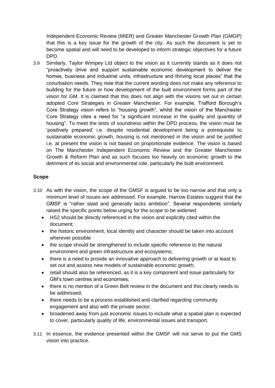Independent Economic Review (MIER) and Greater Manchester Growth Plan (GMGP) that this is a key issue for the growth of the city. As such the document is yet to become spatial and will need to be developed to inform strategic objectives for a future DPD.

3.9 Similarly, Taylor Wimpey Ltd object to the vision as it currently stands as it does not "proactively drive and support sustainable economic development to deliver the homes, business and industrial units, infrastructure and thriving local places" that the conurbation needs. They note that the current wording does not make any reference to building for the future or how development of the built environment forms part of the vision for GM. It is claimed that this does not align with the visions set out in certain adopted Core Strategies in Greater Manchester. For example, Trafford Borough's Core Strategy vision refers to "housing growth", whilst the vision of the Manchester Core Strategy cites a need for "a significant increase in the quality and quantity of housing". To meet the tests of soundness within the DPD process, the vision must be 'positively prepared' i.e. despite residential development being a prerequisite to sustainable economic growth, housing is not mentioned in the vision and be justified i.e. at present the vision is not based on proportionate evidence. The vision is based on The Manchester Independent Economic Review and the Greater Manchester Growth & Reform Plan and as such focuses too heavily on economic growth to the detriment of its social and environmental role, particularly the built environment.

#### **Scope**

- 3.10 As with the vision, the scope of the GMSF is argued to be too narrow and that only a minimum level of issues are addressed. For example, Harrow Estates suggest that the GMSF is "rather staid and generally lacks ambition". Several respondents similarly raised the specific points below urging for the scope to be widened:
	- HS2 should be directly referenced in the vision and explicitly cited within the document;
	- the historic environment, local identity and character should be taken into account wherever possible
	- the scope should be strengthened to include specific reference to the natural environment and green infrastructure and ecosystems;
	- there is a need to provide an innovative approach to delivering growth or at least to set out and assess new models of sustainable economic growth;
	- retail should also be referenced, as it is a key component and issue particularly for GM's town centres and economies;
	- there is no mention of a Green Belt review in the document and this clearly needs to be addressed;
	- there needs to be a process established and clarified regarding community engagement and also with the private sector;
	- broadened away from just economic issues to include what a spatial plan is expected to cover, particularly quality of life, environmental issues and transport.
- 3.11 In essence, the evidence presented within the GMSF will not serve to put the GMS vision into practice.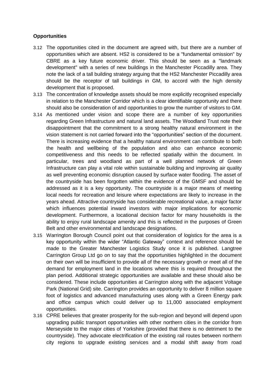#### **Opportunities**

- 3.12 The opportunities cited in the document are agreed with, but there are a number of opportunities which are absent. HS2 is considered to be a "fundamental omission" by CBRE as a key future economic driver. This should be seen as a "landmark development" with a series of new buildings in the Manchester Piccadilly area. They note the lack of a tall building strategy arguing that the HS2 Manchester Piccadilly area should be the receptor of tall buildings in GM, to accord with the high density development that is proposed.
- 3.13 The concentration of knowledge assets should be more explicitly recognised especially in relation to the Manchester Corridor which is a clear identifiable opportunity and there should also be consideration of and opportunities to grow the number of visitors to GM.
- 3.14 As mentioned under vision and scope there are a number of key opportunities regarding Green Infrastructure and natural land assets. The Woodland Trust note their disappointment that the commitment to a strong healthy natural environment in the vision statement is not carried forward into the "opportunities" section of the document. There is increasing evidence that a healthy natural environment can contribute to both the health and wellbeing of the population and also can enhance economic competitiveness and this needs to be reflected spatially within the document. In particular, trees and woodland as part of a well planned network of Green Infrastructure can play a vital role within sustainable building and improving air quality as well preventing economic disruption caused by surface water flooding. The asset of the countryside has been forgotten within the evidence of the GMSF and should be addressed as it is a key opportunity. The countryside is a major means of meeting local needs for recreation and leisure where expectations are likely to increase in the years ahead. Attractive countryside has considerable recreational value, a major factor which influences potential inward investors with major implications for economic development. Furthermore, a locational decision factor for many households is the ability to enjoy rural landscape amenity and this is reflected in the purposes of Green Belt and other environmental and landscape designations.
- 3.15 Warrington Borough Council point out that consideration of logistics for the area is a key opportunity within the wider "Atlantic Gateway" context and reference should be made to the Greater Manchester Logistics Study once it is published. Langtree Carrington Group Ltd go on to say that the opportunities highlighted in the document on their own will be insufficient to provide all of the necessary growth or meet all of the demand for employment land in the locations where this is required throughout the plan period. Additional strategic opportunities are available and these should also be considered. These include opportunities at Carrington along with the adjacent Voltage Park (National Grid) site. Carrington provides an opportunity to deliver 8 million square foot of logistics and advanced manufacturing uses along with a Green Energy park and office campus which could deliver up to 11,000 associated employment opportunities.
- 3.16 CPRE believes that greater prosperity for the sub-region and beyond will depend upon upgrading public transport opportunities with other northern cities in the corridor from Merseyside to the major cities of Yorkshire (provided that there is no detriment to the countryside). They advocate electrification of the existing rail routes between northern city regions to upgrade existing services and a modal shift away from road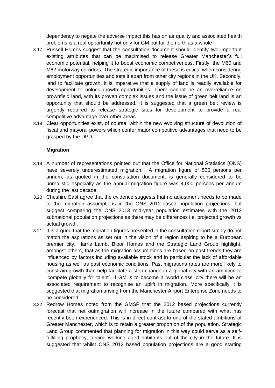dependency to negate the adverse impact this has on air quality and associated health problems is a real opportunity not only for GM but for the north as a whole

- 3.17 Russell Homes suggest that the consultation document should identify two important existing attributes that can be maximised to release Greater Manchester's full economic potential, helping it to boost economic competiveness. Firstly, the M60 and M62 motorway corridors. The strategic importance of these is critical when considering employment opportunities and sets it apart from other city regions in the UK. Secondly, land to facilitate growth, it is imperative that a supply of land is readily available for development to unlock growth opportunities. There cannot be an overreliance on brownfield land, with its proven complex issues and the issue of green belt land is an opportunity that should be addressed. It is suggested that a green belt review is urgently required to release strategic sites for development to provide a real competitive advantage over other areas.
- 3.18 Clear opportunities exist, of course, within the new evolving structure of devolution of fiscal and mayoral powers which confer major competitive advantages that need to be grasped by the DPD.

#### **Migration**

- 3.19 A number of representations pointed out that the Office for National Statistics (ONS) have severely underestimated migration. A migration figure of 500 persons per annum, as quoted in the consultation document, is generally considered to be unrealistic especially as the annual migration figure was 4,000 persons per annum during the last decade.
- 3.20 Cheshire East agree that the evidence suggests that no adjustment needs to be made to the migration assumptions in the ONS 2012-based population projections, but suggest comparing the ONS 2013 mid-year population estimates with the 2012 subnational population projections as there may be differences i.e. projected growth vs actual growth.
- 3.21 It is argued that the migration figures presented in the consultation report simply do not match the aspirations as set out in the vision of a region aspiring to be a European premier city. Harris Lamb, Bloor Homes and the Strategic Land Group highlight, amongst others, that as the migration assumptions are based on past trends they are influenced by factors including available stock and in particular the lack of affordable housing as well as past economic conditions. Past migrations rates are more likely to constrain growth than help facilitate a step change in a global city with an ambition to 'compete globally for talent'. If GM is to become a 'world class' city there will be an associated requirement to recognise an uplift in migration. More specifically it is suggested that migration arising from the Manchester Airport Enterprise Zone needs to be considered.
- 3.22 Redrow Homes noted from the GMSF that the 2012 based projections currently forecast that net outmigration will increase in the future compared with what has recently been experienced. This is in direct contrast to one of the stated ambitions of Greater Manchester, which is to retain a greater proportion of the population. Strategic Land Group commented that planning for migration in this way could serve as a selffulfilling prophecy, forcing working aged habitants out of the city in the future. It is suggested that whilst ONS 2012 based population projections are a good starting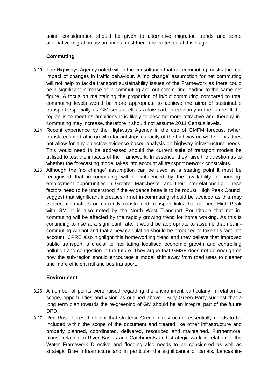point, consideration should be given to alternative migration trends and some alternative migration assumptions must therefore be tested at this stage.

#### **Commuting**

- 3.23 The Highways Agency noted within the consultation that net commuting masks the real impact of changes in traffic behaviour. A 'no change' assumption for net commuting will not help to tackle transport sustainability issues of the Framework as there could be a significant increase of in-commuting and out-commuting leading to the same net figure. A focus on maintaining the proportion of in/out commuting compared to total commuting levels would be more appropriate to achieve the aims of sustainable transport especially as GM sees itself as a low carbon economy in the future. If the region is to meet its ambitions it is likely to become more attractive and thereby incommuting may increase, therefore it should not assume 2011 Census levels.
- 3.24 Recent experience by the Highways Agency in the use of GMFM forecast (when translated into traffic growth) far outstrips capacity of the highway networks. This does not allow for any objective evidence based analysis on highway infrastructure needs. This would need to be addressed should the current suite of transport models be utilised to test the impacts of the Framework. In essence, they raise the question as to whether the forecasting model takes into account all transport network constraints.
- 3.25 Although the 'no change' assumption can be used as a starting point it must be recognised that in-commuting will be influenced by the availability of housing, employment opportunities in Greater Manchester and their interrelationship. These factors need to be understood if the evidence base is to be robust. High Peak Council suggest that significant increases in net in-commuting should be avoided as this may exacerbate matters on currently constrained transport links that connect High Peak with GM. It is also noted by the North West Transport Roundtable that net incommuting will be affected by the rapidly growing trend for home working. As this is continuing to rise at a significant rate, it would be appropriate to assume that net incommuting will not and that a new calculation should be produced to take this fact into account. CPRE also highlight this homeworking trend and they believe that improved public transport is crucial to facilitating localised economic growth and controlling pollution and congestion in the future. They argue that GMSF does not do enough on how the sub-region should encourage a modal shift away from road uses to cleaner and more efficient rail and bus transport.

#### **Environment**

- 3.26 A number of points were raised regarding the environment particularly in relation to scope, opportunities and vision as outlined above. Bury Green Party suggest that a long term plan towards the re-greening of GM should be an integral part of the future DPD.
- 3.27 Red Rose Forest highlight that strategic Green Infrastructure essentially needs to be included within the scope of the document and treated like other infrastructure and properly planned, coordinated, delivered, resourced and maintained. Furthermore, plans relating to River Basins and Catchments and strategic work in relation to the Water Framework Directive and flooding also needs to be considered as well as strategic Blue Infrastructure and in particular the significance of canals. Lancashire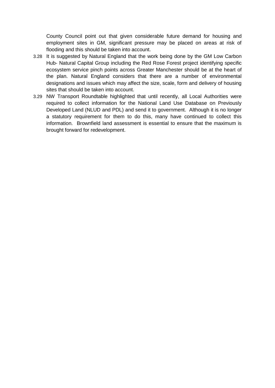County Council point out that given considerable future demand for housing and employment sites in GM, significant pressure may be placed on areas at risk of flooding and this should be taken into account.

- 3.28 It is suggested by Natural England that the work being done by the GM Low Carbon Hub- Natural Capital Group including the Red Rose Forest project identifying specific ecosystem service pinch points across Greater Manchester should be at the heart of the plan. Natural England considers that there are a number of environmental designations and issues which may affect the size, scale, form and delivery of housing sites that should be taken into account.
- 3.29 NW Transport Roundtable highlighted that until recently, all Local Authorities were required to collect information for the National Land Use Database on Previously Developed Land (NLUD and PDL) and send it to government. Although it is no longer a statutory requirement for them to do this, many have continued to collect this information. Brownfield land assessment is essential to ensure that the maximum is brought forward for redevelopment.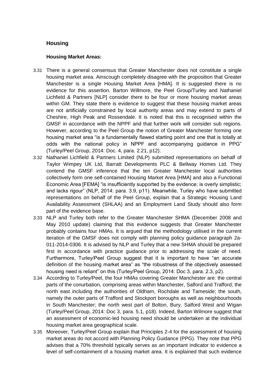#### **Housing**

#### **Housing Market Areas:**

- 3.31 There is a general consensus that Greater Manchester does not constitute a single housing market area. Ainscough completely disagree with the proposition that Greater Manchester is a single Housing Market Area [HMA]. It is suggested there is no evidence for this assertion. Barton Willmore, the Peel Group/Turley and Nathaniel Lichfield & Partners [NLP] consider there to be four or more housing market areas within GM. They state there is evidence to suggest that these housing market areas are not artificially constrained by local authority areas and may extend to parts of Cheshire, High Peak and Rossendale. It is noted that this is recognised within the GMSF in accordance with the NPPF and that further work will consider sub regions. However, according to the Peel Group the notion of Greater Manchester forming one housing market area "is a fundamentally flawed starting point and one that is totally at odds with the national policy in NPPF and accompanying guidance in PPG" (Turley/Peel Group, 2014: Doc. 4, para. 2.21, p12).
- 3.32 Nathaniel Lichfield & Partners Limited (NLP) submitted representations on behalf of Taylor Wimpey UK Ltd, Barratt Developments PLC & Bellway Homes Ltd. They contend the GMSF inference that the ten Greater Manchester local authorities collectively form one self-contained Housing Market Area [HMA] and also a Functional Economic Area [FEMA] "is insufficiently supported by the evidence; is overly simplistic; and lacks rigour" (NLP, 2014: para. 3.9, p11). Meanwhile, Turley who have submitted representations on behalf of the Peel Group, explain that a Strategic Housing Land Availability Assessment (SHLAA) and an Employment Land Study should also form part of the evidence base.
- 3.33 NLP and Turley both refer to the Greater Manchester SHMA (December 2008 and May 2010 update) claiming that this evidence suggests that Greater Manchester probably contains four HMAs. It is argued that the methodology utilised in the current iteration of the GMSF does not comply with planning policy guidance paragraph 2a-011-2014-0306. It is advised by NLP and Turley that a new SHMA should be prepared first in accordance with practice guidance prior to addressing the scale of need. Furthermore, Turley/Peel Group suggest that it is important to have "an accurate definition of the housing market area" as "the robustness of the objectively assessed housing need is reliant" on this (Turley/Peel Group, 2014: Doc 3, para. 2.3, p2).
- 3.34 According to Turley/Peel, the four HMAs covering Greater Manchester are: the central parts of the conurbation, comprising areas within Manchester, Salford and Trafford; the north east including the authorities of Oldham, Rochdale and Tameside; the south, namely the outer parts of Trafford and Stockport boroughs as well as neighbourhoods in South Manchester; the north west part of Bolton, Bury, Salford West and Wigan (Turley/Peel Group, 2014: Doc 3, para. 5.1, p18). Indeed, Barton Wilmore suggest that an assessment of economic-led housing need should be undertaken at the individual housing market area geographical scale.
- 3.35 Moreover, Turley/Peel Group explain that Principles 2-4 for the assessment of housing market areas do not accord with Planning Policy Guidance (PPG). They note that PPG advises that a 70% threshold typically serves as an important indicator to evidence a level of self-containment of a housing market area. It is explained that such evidence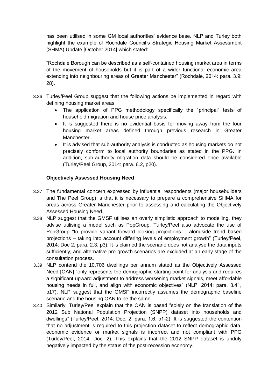has been utilised in some GM local authorities' evidence base. NLP and Turley both highlight the example of Rochdale Council's Strategic Housing Market Assessment (SHMA) Update [October 2014] which stated:

"Rochdale Borough can be described as a self-contained housing market area in terms of the movement of households but it is part of a wider functional economic area extending into neighbouring areas of Greater Manchester" (Rochdale, 2014: para. 3.9: 28).

- 3.36 Turley/Peel Group suggest that the following actions be implemented in regard with defining housing market areas:
	- The application of PPG methodology specifically the "principal" tests of household migration and house price analysis.
	- It is suggested there is no evidential basis for moving away from the four housing market areas defined through previous research in Greater Manchester.
	- It is advised that sub-authority analysis is conducted as housing markets do not precisely conform to local authority boundaries as stated in the PPG. In addition, sub-authority migration data should be considered once available (Turley/Peel Group, 2014: para. 6.2, p20).

#### **Objectively Assessed Housing Need**

- 3.37 The fundamental concern expressed by influential respondents (major housebuilders and The Peel Group) is that it is necessary to prepare a comprehensive SHMA for areas across Greater Manchester prior to assessing and calculating the Objectively Assessed Housing Need.
- 3.38 NLP suggest that the GMSF utilises an overly simplistic approach to modelling, they advise utilising a model such as PopGroup. Turley/Peel also advocate the use of PopGroup "to provide variant forward looking projections – alongside trend based projections – taking into account differing levels of employment growth" (Turley/Peel, 2014: Doc 2, para. 2.3, p3). It is claimed the scenario does not analyse the data inputs sufficiently, and alternative pro-growth scenarios are excluded at an early stage of the consultation process.
- 3.39 NLP contend the 10,706 dwellings per annum stated as the Objectively Assessed Need [OAN] "only represents the demographic starting point for analysis and requires a significant upward adjustment to address worsening market signals, meet affordable housing needs in full, and align with economic objectives" (NLP, 2014: para. 3.41, p17). NLP suggest that the GMSF incorrectly assumes the demographic baseline scenario and the housing OAN to be the same.
- 3.40 Similarly, Turley/Peel explain that the OAN is based "solely on the translation of the 2012 Sub National Population Projection (SNPP) dataset into households and dwellings" (Turley/Peel, 2014: Doc. 2, para. 1.6, p1-2). It is suggested the contention that no adjustment is required to this projection dataset to reflect demographic data, economic evidence or market signals is incorrect and not compliant with PPG (Turley/Peel, 2014: Doc. 2). This explains that the 2012 SNPP dataset is unduly negatively impacted by the status of the post-recession economy.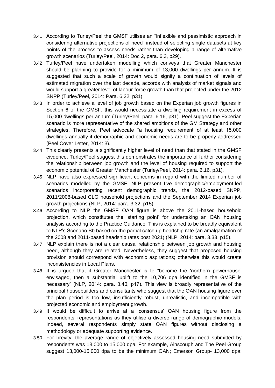- 3.41 According to Turley/Peel the GMSF utilises an "inflexible and pessimistic approach in considering alternative projections of need" instead of selecting single datasets at key points of the process to assess needs rather than developing a range of alternative growth scenarios (Turley/Peel, 2014: Doc 2, para. 6.3, p29).
- 3.42 Turley/Peel have undertaken modelling which conveys that Greater Manchester should be planning to provide for a minimum of 13,000 dwellings per annum. It is suggested that such a scale of growth would signify a continuation of levels of estimated migration over the last decade, accords with analysis of market signals and would support a greater level of labour-force growth than that projected under the 2012 SNPP (Turley/Peel, 2014: Para. 6.22, p31).
- 3.43 In order to achieve a level of job growth based on the Experian job growth figures in Section 6 of the GMSF, this would necessitate a dwelling requirement in excess of 15,000 dwellings per annum (Turley/Peel: para. 6.16, p31). Peel suggest the Experian scenario is more representative of the shared ambitions of the GM Strategy and other strategies. Therefore, Peel advocate "a housing requirement of at least 15,000 dwellings annually if demographic and economic needs are to be properly addressed (Peel Cover Letter, 2014: 3).
- 3.44 This clearly presents a significantly higher level of need than that stated in the GMSF eivdence. Turley/Peel suggest this demonstrates the importance of further considering the relationship between job growth and the level of housing required to support the economic potential of Greater Manchester (Turley/Peel, 2014: para. 6.16, p31).
- 3.45 NLP have also expressed significant concerns in regard with the limited number of scenarios modelled by the GMSF. NLP present five demographic/employment-led scenarios incorporating recent demographic trends, the 2012-based SNPP, 2011/2008-based CLG household projections and the September 2014 Experian job growth projections (NLP, 2014: para. 3.32, p15).
- 3.46 According to NLP the GMSF OAN figure is above the 2011-based household projection, which constitutes the 'starting point' for undertaking an OAN housing analysis according to the Practice Guidance. This is explained to be broadly equivalent to NLP's Scenario Bb based on the partial catch up headship rate (an amalgamation of the 2008 and 2011-based headship rates post 2021) (NLP, 2014: para. 3.33, p15).
- 3.47 NLP explain there is not a clear causal relationship between job growth and housing need, although they are related. Nevertheless, they suggest that proposed housing provision should correspond with economic aspirations; otherwise this would create inconsistencies in Local Plans.
- 3.48 It is argued that if Greater Manchester is to "become the 'northern powerhouse' envisaged, then a substantial uplift to the 10,706 dpa identified in the GMSF is necessary" (NLP, 2014: para. 3.40, p17). This view is broadly representative of the principal housebuilders and consultants who suggest that the OAN housing figure over the plan period is too low, insufficiently robust, unrealistic, and incompatible with projected economic and employment growth.
- 3.49 It would be difficult to arrive at a 'consensus' OAN housing figure from the respondents' representations as they utilise a diverse range of demographic models. Indeed, several respondents simply state OAN figures without disclosing a methodology or adequate supporting evidence.
- 3.50 For brevity, the average range of objectively assessed housing need submitted by respondents was 13,000 to 15,000 dpa. For example, Ainscough and The Peel Group suggest 13,000-15,000 dpa to be the minimum OAN; Emerson Group- 13,000 dpa;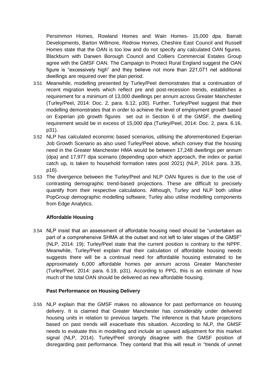Persimmon Homes, Rowland Homes and Wain Homes- 15,000 dpa. Barratt Developments, Barton Willmore, Redrow Homes, Cheshire East Council and Russell Homes state that the OAN is too low and do not specify any calculated OAN figures. Blackburn with Darwen Borough Council and Colliers Commercial Estates Group agree with the GMSF OAN. The Campaign to Protect Rural England suggest the OAN figure is "excessively high" and they believe not more than 221,071 net additional dwellings are required over the plan period.

- 3.51 Meanwhile, modelling presented by Turley/Peel demonstrates that a continuation of recent migration levels which reflect pre and post-recession trends, establishes a requirement for a minimum of 13,000 dwellings per annum across Greater Manchester (Turley/Peel, 2014: Doc. 2, para. 6.12, p30). Further, Turley/Peel suggest that their modelling demonstrates that in order to achieve the level of employment growth based on Experian job growth figures set out in Section 6 of the GMSF, the dwelling requirement would be in excess of 15,000 dpa (Turley/Peel, 2014: Doc. 2, para. 6.16, p31).
- 3.52 NLP has calculated economic based scenarios, utilising the aforementioned Experian Job Growth Scenario as also used Turley/Peel above, which convey that the housing need in the Greater Manchester HMA would be between 17,248 dwellings per annum (dpa) and 17,977 dpa scenario (depending upon which approach, the index or partial catch up, is taken to household formation rates post 2021) (NLP, 2014: para. 3.35, p16).
- 3.53 The divergence between the Turley/Peel and NLP OAN figures is due to the use of contrasting demographic trend-based projections. These are difficult to precisely quantify from their respective calculations. Although, Turley and NLP both utilise PopGroup demographic modelling software; Turley also utilise modelling components from Edge Analytics.

#### **Affordable Housing**

3.54 NLP insist that an assessment of affordable housing need should be "undertaken as part of a comprehensive SHMA at the outset and not left to later stages of the GMSF" (NLP, 2014: 19); Turley/Peel state that the current position is contrary to the NPPF. Meanwhile, Turley/Peel explain that their calculation of affordable housing needs suggests there will be a continual need for affordable housing estimated to be approximately 6,000 affordable homes per annum across Greater Manchester (Turley/Peel, 2014: para. 6.19, p31). According to PPG, this is an estimate of how much of the total OAN should be delivered as new affordable housing.

#### **Past Performance on Housing Delivery**

3.55 NLP explain that the GMSF makes no allowance for past performance on housing delivery. It is claimed that Greater Manchester has considerably under delivered housing units in relation to previous targets. The inference is that future projections based on past trends will exacerbate this situation. According to NLP, the GMSF needs to evaluate this in modelling and include an upward adjustment for this market signal (NLP, 2014). Turley/Peel strongly disagree with the GMSF position of disregarding past performance. They contend that this will result in "trends of unmet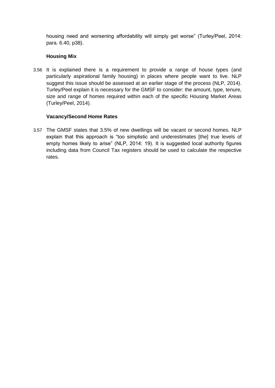housing need and worsening affordability will simply get worse" (Turley/Peel, 2014: para. 6.40, p38).

#### **Housing Mix**

3.56 It is explained there is a requirement to provide a range of house types (and particularly aspirational family housing) in places where people want to live. NLP suggest this issue should be assessed at an earlier stage of the process (NLP, 2014). Turley/Peel explain it is necessary for the GMSF to consider: the amount, type, tenure, size and range of homes required within each of the specific Housing Market Areas (Turley/Peel, 2014).

#### **Vacancy/Second Home Rates**

3.57 The GMSF states that 3.5% of new dwellings will be vacant or second homes. NLP explain that this approach is "too simplistic and underestimates [the] true levels of empty homes likely to arise" (NLP, 2014: 19). It is suggested local authority figures including data from Council Tax registers should be used to calculate the respective rates.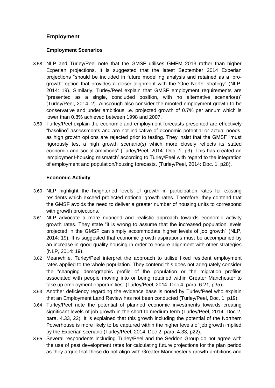#### **Employment**

#### **Employment Scenarios**

- 3.58 NLP and Turley/Peel note that the GMSF utilises GMFM 2013 rather than higher Experian projections. It is suggested that the latest September 2014 Experian projections "should be included in future modelling analysis and retained as a 'progrowth' option that provides a closer alignment with the 'One North' strategy" (NLP, 2014: 19). Similarly, Turley/Peel explain that GMSF employment requirements are "presented as a single, concluded position, with no alternative scenario(s)" (Turley/Peel, 2014: 2). Ainscough also consider the mooted employment growth to be conservative and under ambitious i.e. projected growth of 0.7% per annum which is lower than 0.8% achieved between 1998 and 2007.
- 3.59 Turley/Peel explain the economic and employment forecasts presented are effectively "baseline" assessments and are not indicative of economic potential or actual needs, as high growth options are rejected prior to testing. They insist that the GMSF "must rigorously test a high growth scenario(s) which more closely reflects its stated economic and social ambitions" (Turley/Peel, 2014: Doc. 1, p3). This has created an 'employment-housing mismatch' according to Turley/Peel with regard to the integration of employment and population/housing forecasts. (Turley/Peel, 2014: Doc. 1, p28).

#### **Economic Activity**

- 3.60 NLP highlight the heightened levels of growth in participation rates for existing residents which exceed projected national growth rates. Therefore, they contend that the GMSF avoids the need to deliver a greater number of housing units to correspond with growth projections.
- 3.61 NLP advocate a more nuanced and realistic approach towards economic activity growth rates. They state "it is wrong to assume that the increased population levels projected in the GMSF can simply accommodate higher levels of job growth" (NLP, 2014: 19). It is suggested that economic growth aspirations must be accompanied by an increase in good quality housing in order to ensure alignment with other strategies (NLP, 2014: 19).
- 3.62 Meanwhile, Turley/Peel interpret the approach to utilise fixed resident employment rates applied to the whole population. They contend this does not adequately consider the "changing demographic profile of the population or the migration profiles associated with people moving into or being retained within Greater Manchester to take up employment opportunities" (Turley/Peel, 2014: Doc 4, para. 6.21, p35).
- 3.63 Another deficiency regarding the evidence base is noted by Turley/Peel who explain that an Employment Land Review has not been conducted (Turley/Peel, Doc. 1, p19).
- 3.64 Turley/Peel note the potential of planned economic investments towards creating significant levels of job growth in the short to medium term (Turley/Peel, 2014: Doc 2, para. 4.33, 22). It is explained that this growth including the potential of the Northern Powerhouse is more likely to be captured within the higher levels of job growth implied by the Experian scenario (Turley/Peel, 2014: Doc 2, para. 4.33, p22).
- 3.65 Several respondents including Turley/Peel and the Seddon Group do not agree with the use of past development rates for calculating future projections for the plan period as they argue that these do not align with Greater Manchester's growth ambitions and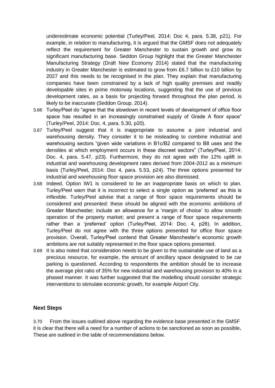underestimate economic potential (Turley/Peel, 2014: Doc 4, para. 5.38, p21). For example, in relation to manufacturing, it is argued that the GMSF does not adequately reflect the requirement for Greater Manchester to sustain growth and grow its significant manufacturing base. Seddon Group highlight that the Greater Manchester Manufacturing Strategy (Draft New Economy 2014) stated that the manufacturing industry in Greater Manchester is estimated to grow from £6.7 billion to £10 billion by 2027 and this needs to be recognised in the plan. They explain that manufacturing companies have been constrained by a lack of high quality premises and readily developable sites in prime motorway locations, suggesting that the use of previous development rates, as a basis for projecting forward throughout the plan period, is likely to be inaccurate (Seddon Group, 2014).

- 3.66 Turley/Peel do "agree that the slowdown in recent levels of development of office floor space has resulted in an increasingly constrained supply of Grade A floor space" (Turley/Peel, 2014: Doc. 4, para. 5.30, p20).
- 3.67 Turley/Peel suggest that it is inappropriate to assume a joint industrial and warehousing density. They consider it to be misleading to combine industrial and warehousing sectors "given wide variations in B1c/B2 compared to B8 uses and the densities at which employment occurs in these discreet sectors" (Turley/Peel, 2014: Doc. 4, para. 5.47, p23). Furthermore, they do not agree with the 12% uplift in industrial and warehousing development rates derived from 2004-2012 as a minimum basis (Turley/Peel, 2014: Doc 4, para. 5.53, p24). The three options presented for industrial and warehousing floor space provision are also dismissed.
- 3.68 Indeed, Option IW1 is considered to be an inappropriate basis on which to plan. Turley/Peel warn that it is incorrect to select a single option as 'preferred' as this is inflexible. Turley/Peel advise that a range of floor space requirements should be considered and presented: these should be aligned with the economic ambitions of Greater Manchester; include an allowance for a 'margin of choice' to allow smooth operation of the property market; and present a range of floor space requirements rather than a 'preferred' option (Turley/Peel, 2014: Doc. 4, p26). In addition, Turley/Peel do not agree with the three options presented for office floor space provision. Overall, Turley/Peel contend that Greater Manchester's economic growth ambitions are not suitably represented in the floor space options presented.
- 3.69 It is also noted that consideration needs to be given to the sustainable use of land as a precious resource, for example, the amount of ancillary space designated to be car parking is questioned. According to respondents the ambition should be to increase the average plot ratio of 35% for new industrial and warehousing provision to 40% in a phased manner. It was further suggested that the modelling should consider strategic interventions to stimulate economic growth, for example Airport City.

#### **Next Steps**

3.70 From the issues outlined above regarding the evidence base presented in the GMSF it is clear that there will a need for a number of actions to be sanctioned as soon as possible**.**  These are outlined in the table of recommendations below.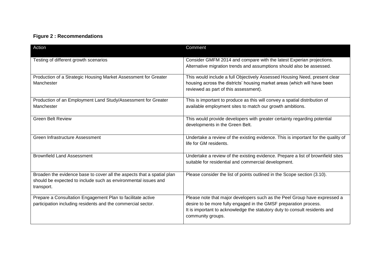### **Figure 2 : Recommendations**

| Action                                                                                                                                                 | Comment                                                                                                                                                                                                                                          |  |
|--------------------------------------------------------------------------------------------------------------------------------------------------------|--------------------------------------------------------------------------------------------------------------------------------------------------------------------------------------------------------------------------------------------------|--|
| Testing of different growth scenarios                                                                                                                  | Consider GMFM 2014 and compare with the latest Experian projections.<br>Alternative migration trends and assumptions should also be assessed.                                                                                                    |  |
| Production of a Strategic Housing Market Assessment for Greater<br>Manchester                                                                          | This would include a full Objectively Assessed Housing Need, present clear<br>housing across the districts' housing market areas (which will have been<br>reviewed as part of this assessment).                                                  |  |
| Production of an Employment Land Study/Assessment for Greater<br>Manchester                                                                            | This is important to produce as this will convey a spatial distribution of<br>available employment sites to match our growth ambitions.                                                                                                          |  |
| <b>Green Belt Review</b>                                                                                                                               | This would provide developers with greater certainty regarding potential<br>developments in the Green Belt.                                                                                                                                      |  |
| Green Infrastructure Assessment                                                                                                                        | Undertake a review of the existing evidence. This is important for the quality of<br>life for GM residents.                                                                                                                                      |  |
| <b>Brownfield Land Assessment</b>                                                                                                                      | Undertake a review of the existing evidence. Prepare a list of brownfield sites<br>suitable for residential and commercial development.                                                                                                          |  |
| Broaden the evidence base to cover all the aspects that a spatial plan<br>should be expected to include such as environmental issues and<br>transport. | Please consider the list of points outlined in the Scope section (3.10).                                                                                                                                                                         |  |
| Prepare a Consultation Engagement Plan to facilitate active<br>participation including residents and the commercial sector.                            | Please note that major developers such as the Peel Group have expressed a<br>desire to be more fully engaged in the GMSF preparation process.<br>It is important to acknowledge the statutory duty to consult residents and<br>community groups. |  |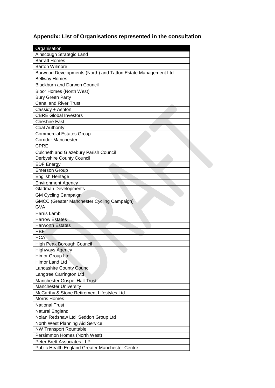## **Appendix: List of Organisations represented in the consultation**

| Organisation                                                  |
|---------------------------------------------------------------|
| Ainscough Strategic Land                                      |
| <b>Barratt Homes</b>                                          |
| <b>Barton Wilmore</b>                                         |
| Barwood Developments (North) and Tatton Estate Management Ltd |
| <b>Bellway Homes</b>                                          |
| <b>Blackburn and Darwen Council</b>                           |
| Bloor Homes (North West)                                      |
| <b>Bury Green Party</b>                                       |
| <b>Canal and River Trust</b>                                  |
| Cassidy + Ashton                                              |
| <b>CBRE Global Investors</b>                                  |
| <b>Cheshire East</b>                                          |
| <b>Coal Authority</b>                                         |
| <b>Commercial Estates Group</b>                               |
| <b>Corridor Manchester</b>                                    |
| <b>CPRE</b>                                                   |
| Culcheth and Glazebury Parish Council                         |
| Derbyshire County Council                                     |
| <b>EDF Energy</b>                                             |
| <b>Emerson Group</b>                                          |
| English Heritage                                              |
| <b>Environment Agency</b>                                     |
| <b>Gladman Developments</b>                                   |
| <b>GM Cycling Campaign</b>                                    |
| <b>GMCC (Greater Manchester Cycling Campaign)</b>             |
| <b>GVA</b>                                                    |
| Harris Lamb                                                   |
| <b>Harrow Estates</b>                                         |
| <b>Harworth Estates</b>                                       |
| <b>HBF</b>                                                    |
| <b>HCA</b>                                                    |
| High Peak Borough Council                                     |
| <b>Highways Agency</b>                                        |
| Himor Group Ltd                                               |
| Himor Land Ltd                                                |
| Lancashire County Council                                     |
| Langtree Carrington Ltd                                       |
| Manchester Gospel Hall Trust                                  |
| <b>Manchester University</b>                                  |
| McCarthy & Stone Retirement Lifestyles Ltd.                   |
| <b>Morris Homes</b>                                           |
| <b>National Trust</b>                                         |
| Natural England                                               |
| Nolan Redshaw Ltd Seddon Group Ltd                            |
| North West Planning Aid Service                               |
| <b>NW Transport Rountable</b>                                 |
| Persimmon Homes (North West)                                  |
| Peter Brett Associates LLP                                    |
| Public Health England Greater Manchester Centre               |